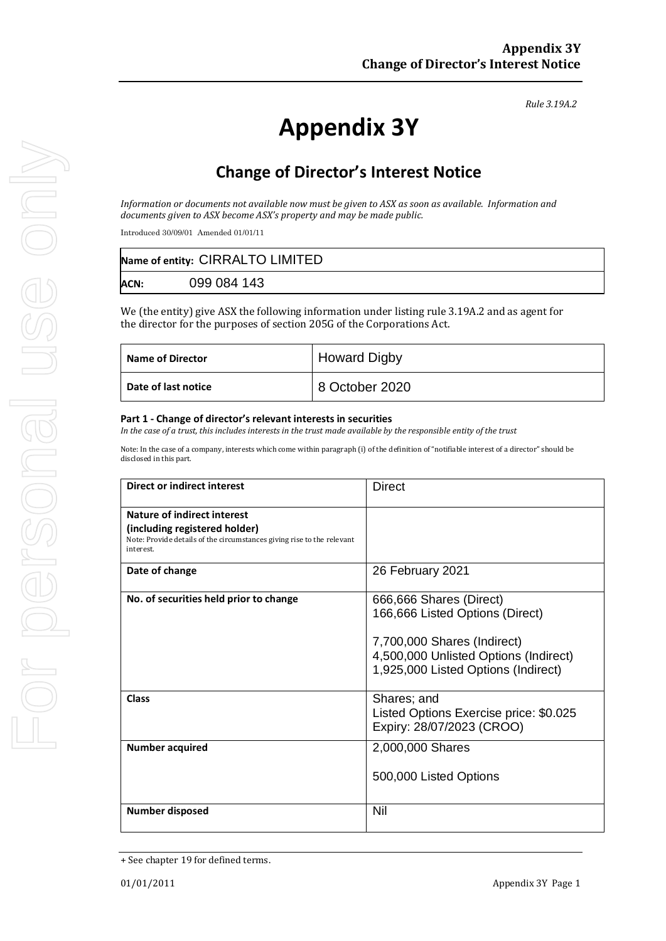*Rule 3.19A.2*

# **Appendix 3Y**

# **Change of Director's Interest Notice**

*Information or documents not available now must be given to ASX as soon as available. Information and documents given to ASX become ASX's property and may be made public.*

Introduced 30/09/01 Amended 01/01/11

| Name of entity: CIRRALTO LIMITED |             |  |
|----------------------------------|-------------|--|
| <b>ACN:</b>                      | 099 084 143 |  |

We (the entity) give ASX the following information under listing rule 3.19A.2 and as agent for the director for the purposes of section 205G of the Corporations Act.

| <b>Name of Director</b> | <b>Howard Digby</b> |
|-------------------------|---------------------|
| Date of last notice     | 8 October 2020      |

#### **Part 1 - Change of director's relevant interests in securities**

*In the case of a trust, this includes interests in the trust made available by the responsible entity of the trust*

Note: In the case of a company, interests which come within paragraph (i) of the definition of "notifiable interest of a director" should be disclosed in this part.

| <b>Direct or indirect interest</b>                                                                                                                  | Direct                                                                                                                                                                    |  |
|-----------------------------------------------------------------------------------------------------------------------------------------------------|---------------------------------------------------------------------------------------------------------------------------------------------------------------------------|--|
| Nature of indirect interest<br>(including registered holder)<br>Note: Provide details of the circumstances giving rise to the relevant<br>interest. |                                                                                                                                                                           |  |
| Date of change                                                                                                                                      | 26 February 2021                                                                                                                                                          |  |
| No. of securities held prior to change                                                                                                              | 666,666 Shares (Direct)<br>166,666 Listed Options (Direct)<br>7,700,000 Shares (Indirect)<br>4,500,000 Unlisted Options (Indirect)<br>1,925,000 Listed Options (Indirect) |  |
| <b>Class</b>                                                                                                                                        | Shares; and<br>Listed Options Exercise price: \$0.025<br>Expiry: 28/07/2023 (CROO)                                                                                        |  |
| <b>Number acquired</b>                                                                                                                              | 2,000,000 Shares<br>500,000 Listed Options                                                                                                                                |  |
| <b>Number disposed</b>                                                                                                                              | Nil                                                                                                                                                                       |  |

<sup>+</sup> See chapter 19 for defined terms.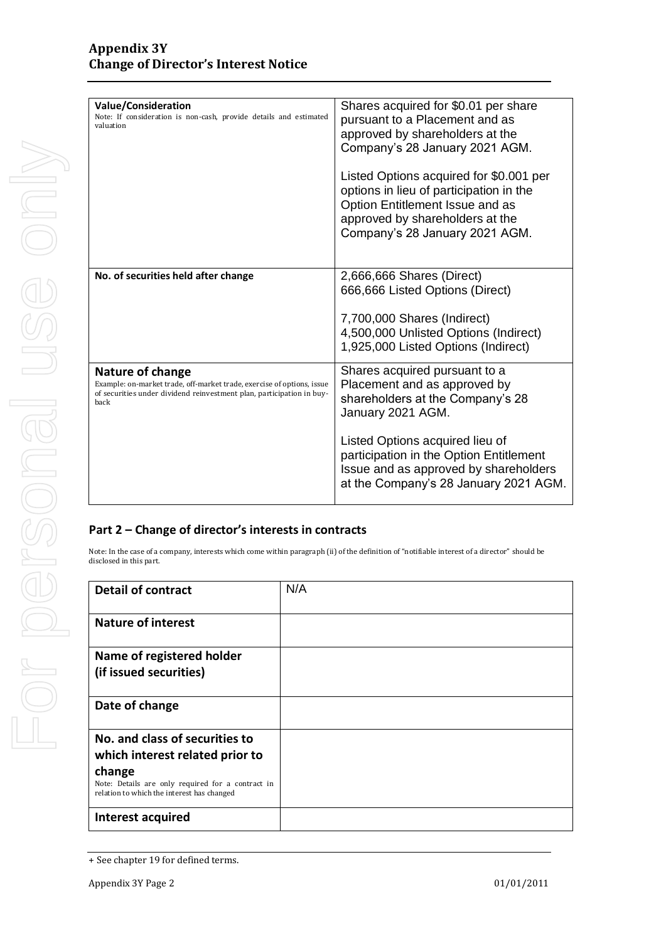| <b>Value/Consideration</b><br>Note: If consideration is non-cash, provide details and estimated<br>valuation                                                                | Shares acquired for \$0.01 per share<br>pursuant to a Placement and as<br>approved by shareholders at the<br>Company's 28 January 2021 AGM.<br>Listed Options acquired for \$0.001 per<br>options in lieu of participation in the<br>Option Entitlement Issue and as |
|-----------------------------------------------------------------------------------------------------------------------------------------------------------------------------|----------------------------------------------------------------------------------------------------------------------------------------------------------------------------------------------------------------------------------------------------------------------|
|                                                                                                                                                                             | approved by shareholders at the<br>Company's 28 January 2021 AGM.                                                                                                                                                                                                    |
| No. of securities held after change                                                                                                                                         | 2,666,666 Shares (Direct)<br>666,666 Listed Options (Direct)                                                                                                                                                                                                         |
|                                                                                                                                                                             | 7,700,000 Shares (Indirect)<br>4,500,000 Unlisted Options (Indirect)<br>1,925,000 Listed Options (Indirect)                                                                                                                                                          |
| Nature of change<br>Example: on-market trade, off-market trade, exercise of options, issue<br>of securities under dividend reinvestment plan, participation in buy-<br>back | Shares acquired pursuant to a<br>Placement and as approved by<br>shareholders at the Company's 28<br>January 2021 AGM.                                                                                                                                               |
|                                                                                                                                                                             | Listed Options acquired lieu of<br>participation in the Option Entitlement<br>Issue and as approved by shareholders<br>at the Company's 28 January 2021 AGM.                                                                                                         |

### **Part 2 – Change of director's interests in contracts**

Note: In the case of a company, interests which come within paragraph (ii) of the definition of "notifiable interest of a director" should be disclosed in this part.

| <b>Detail of contract</b>                                                                       | N/A |
|-------------------------------------------------------------------------------------------------|-----|
| <b>Nature of interest</b>                                                                       |     |
| Name of registered holder                                                                       |     |
| (if issued securities)                                                                          |     |
| Date of change                                                                                  |     |
| No. and class of securities to                                                                  |     |
| which interest related prior to                                                                 |     |
| change                                                                                          |     |
| Note: Details are only required for a contract in<br>relation to which the interest has changed |     |
| Interest acquired                                                                               |     |

<sup>+</sup> See chapter 19 for defined terms.